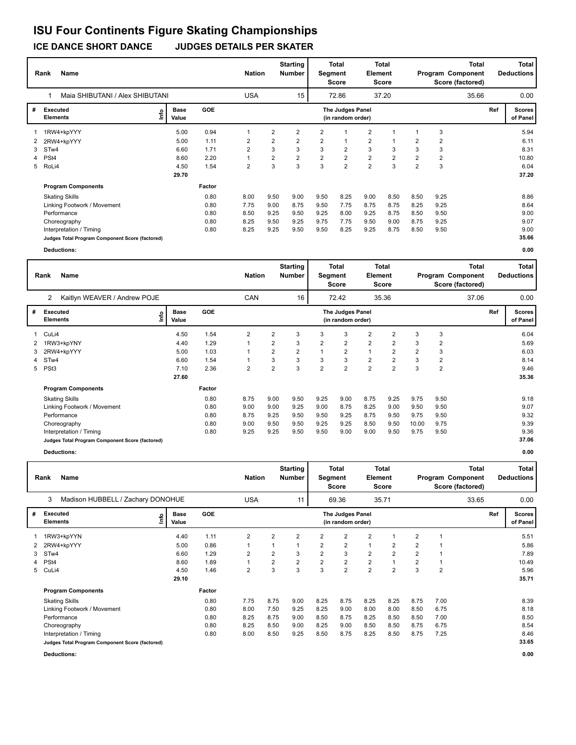|                | Name<br>Rank                                    |                      |            | <b>Nation</b>  |                | <b>Starting</b><br><b>Number</b> | Segment        | <b>Total</b><br><b>Score</b>                 | Element                 | <b>Total</b><br>Score |                |                | <b>Total</b><br>Program Component<br>Score (factored) |     | <b>Total</b><br><b>Deductions</b> |
|----------------|-------------------------------------------------|----------------------|------------|----------------|----------------|----------------------------------|----------------|----------------------------------------------|-------------------------|-----------------------|----------------|----------------|-------------------------------------------------------|-----|-----------------------------------|
|                | Maia SHIBUTANI / Alex SHIBUTANI                 |                      |            | <b>USA</b>     |                | 15                               |                | 72.86                                        |                         | 37.20                 |                |                | 35.66                                                 |     | 0.00                              |
| #              | Executed<br>١m<br><b>Elements</b>               | <b>Base</b><br>Value | <b>GOE</b> |                |                |                                  |                | <b>The Judges Panel</b><br>(in random order) |                         |                       |                |                |                                                       | Ref | <b>Scores</b><br>of Panel         |
|                | 1RW4+kpYYY                                      | 5.00                 | 0.94       | 1              | $\overline{2}$ | $\overline{2}$                   | $\overline{2}$ | 1                                            | $\overline{\mathbf{c}}$ | 1                     |                | 3              |                                                       |     | 5.94                              |
| 2              | 2RW4+kpYYY                                      | 5.00                 | 1.11       | 2              | 2              | $\overline{2}$                   | $\overline{2}$ | $\mathbf{1}$                                 | $\overline{\mathbf{c}}$ |                       | 2              | 2              |                                                       |     | 6.11                              |
| 3              | STw4                                            | 6.60                 | 1.71       | $\overline{2}$ | 3              | 3                                | 3              | $\overline{2}$                               | 3                       | 3                     | 3              | 3              |                                                       |     | 8.31                              |
| $\overline{4}$ | PSt <sub>4</sub>                                | 8.60                 | 2.20       |                | 2              | $\overline{2}$                   | $\overline{2}$ | $\overline{2}$                               | $\overline{\mathbf{c}}$ | $\overline{2}$        | $\overline{2}$ | $\overline{2}$ |                                                       |     | 10.80                             |
| 5              | RoLi4                                           | 4.50                 | 1.54       | $\overline{2}$ | 3              | 3                                | 3              | $\overline{2}$                               | $\overline{2}$          | 3                     | $\overline{2}$ | 3              |                                                       |     | 6.04                              |
|                |                                                 | 29.70                |            |                |                |                                  |                |                                              |                         |                       |                |                |                                                       |     | 37.20                             |
|                | <b>Program Components</b>                       |                      | Factor     |                |                |                                  |                |                                              |                         |                       |                |                |                                                       |     |                                   |
|                | <b>Skating Skills</b>                           |                      | 0.80       | 8.00           | 9.50           | 9.00                             | 9.50           | 8.25                                         | 9.00                    | 8.50                  | 8.50           | 9.25           |                                                       |     | 8.86                              |
|                | Linking Footwork / Movement                     |                      | 0.80       | 7.75           | 9.00           | 8.75                             | 9.50           | 7.75                                         | 8.75                    | 8.75                  | 8.25           | 9.25           |                                                       |     | 8.64                              |
|                | Performance                                     |                      | 0.80       | 8.50           | 9.25           | 9.50                             | 9.25           | 8.00                                         | 9.25                    | 8.75                  | 8.50           | 9.50           |                                                       |     | 9.00                              |
|                | Choreography                                    |                      | 0.80       | 8.25           | 9.50           | 9.25                             | 9.75           | 7.75                                         | 9.50                    | 9.00                  | 8.75           | 9.25           |                                                       |     | 9.07                              |
|                | Interpretation / Timing                         |                      | 0.80       | 8.25           | 9.25           | 9.50                             | 9.50           | 8.25                                         | 9.25                    | 8.75                  | 8.50           | 9.50           |                                                       |     | 9.00                              |
|                | Judges Total Program Component Score (factored) |                      |            |                |                |                                  |                |                                              |                         |                       |                |                |                                                       |     | 35.66                             |
|                | <b>Deductions:</b>                              |                      |            |                |                |                                  |                |                                              |                         |                       |                |                |                                                       |     | 0.00                              |

| <b>Deductions:</b> |  |
|--------------------|--|
|                    |  |

|   | Name<br>Rank                                    |                              |            | <b>Nation</b>  |                | <b>Starting</b><br><b>Number</b> | Segment        | <b>Total</b><br>Score                 | Element        | <b>Total</b><br><b>Score</b> |                | Program Component<br>Score (factored) | <b>Total</b> |     | <b>Total</b><br><b>Deductions</b> |
|---|-------------------------------------------------|------------------------------|------------|----------------|----------------|----------------------------------|----------------|---------------------------------------|----------------|------------------------------|----------------|---------------------------------------|--------------|-----|-----------------------------------|
|   | Kaitlyn WEAVER / Andrew POJE<br>2               |                              |            | CAN            |                | 16                               |                | 72.42                                 |                | 35.36                        |                |                                       | 37.06        |     | 0.00                              |
| # | Executed<br>Elements                            | <b>Base</b><br>١nf٥<br>Value | <b>GOE</b> |                |                |                                  |                | The Judges Panel<br>(in random order) |                |                              |                |                                       |              | Ref | Scores  <br>of Panel              |
|   | CuLi4                                           | 4.50                         | 1.54       | 2              | 2              | 3                                | 3              | 3                                     | $\overline{2}$ | 2                            | 3              | 3                                     |              |     | 6.04                              |
|   | 1RW3+kpYNY                                      | 4.40                         | 1.29       | 1              | $\overline{2}$ | 3                                | $\overline{2}$ | $\overline{2}$                        | $\overline{2}$ | $\overline{2}$               | 3              | $\overline{2}$                        |              |     | 5.69                              |
| 3 | 2RW4+kpYYY                                      | 5.00                         | 1.03       | 1              | $\overline{2}$ | 2                                |                | $\overline{2}$                        | $\mathbf{1}$   | $\overline{2}$               | $\overline{2}$ | 3                                     |              |     | 6.03                              |
|   | 4 STw4                                          | 6.60                         | 1.54       | 1              | 3              | 3                                | 3              | 3                                     | $\overline{2}$ | $\overline{\mathbf{c}}$      | 3              | 2                                     |              |     | 8.14                              |
|   | 5 PSt3                                          | 7.10                         | 2.36       | $\overline{2}$ | $\overline{2}$ | 3                                | $\overline{2}$ | $\overline{2}$                        | $\overline{2}$ | $\overline{2}$               | 3              | $\overline{2}$                        |              |     | 9.46                              |
|   |                                                 | 27.60                        |            |                |                |                                  |                |                                       |                |                              |                |                                       |              |     | 35.36                             |
|   | <b>Program Components</b>                       |                              | Factor     |                |                |                                  |                |                                       |                |                              |                |                                       |              |     |                                   |
|   | <b>Skating Skills</b>                           |                              | 0.80       | 8.75           | 9.00           | 9.50                             | 9.25           | 9.00                                  | 8.75           | 9.25                         | 9.75           | 9.50                                  |              |     | 9.18                              |
|   | Linking Footwork / Movement                     |                              | 0.80       | 9.00           | 9.00           | 9.25                             | 9.00           | 8.75                                  | 8.25           | 9.00                         | 9.50           | 9.50                                  |              |     | 9.07                              |
|   | Performance                                     |                              | 0.80       | 8.75           | 9.25           | 9.50                             | 9.50           | 9.25                                  | 8.75           | 9.50                         | 9.75           | 9.50                                  |              |     | 9.32                              |
|   | Choreography                                    |                              | 0.80       | 9.00           | 9.50           | 9.50                             | 9.25           | 9.25                                  | 8.50           | 9.50                         | 10.00          | 9.75                                  |              |     | 9.39                              |
|   | Interpretation / Timing                         |                              | 0.80       | 9.25           | 9.25           | 9.50                             | 9.50           | 9.00                                  | 9.00           | 9.50                         | 9.75           | 9.50                                  |              |     | 9.36                              |
|   | Judges Total Program Component Score (factored) |                              |            |                |                |                                  |                |                                       |                |                              |                |                                       |              |     | 37.06                             |

**Deductions: 0.00**

|   | Name<br>Rank                                    |               |            | <b>Nation</b>  |                | Starting<br><b>Number</b> | Segment        | <b>Total</b><br><b>Score</b>          | Element        | <b>Total</b><br><b>Score</b> |                |                | <b>Total</b><br>Program Component<br>Score (factored) |     | Total<br><b>Deductions</b> |
|---|-------------------------------------------------|---------------|------------|----------------|----------------|---------------------------|----------------|---------------------------------------|----------------|------------------------------|----------------|----------------|-------------------------------------------------------|-----|----------------------------|
|   | 3<br>Madison HUBBELL / Zachary DONOHUE          |               |            | <b>USA</b>     |                | 11                        |                | 69.36                                 |                | 35.71                        |                |                | 33.65                                                 |     | 0.00                       |
| # | <b>Executed</b><br>lnfo<br><b>Elements</b>      | Base<br>Value | <b>GOE</b> |                |                |                           |                | The Judges Panel<br>(in random order) |                |                              |                |                |                                                       | Ref | <b>Scores</b><br>of Panel  |
|   | 1RW3+kpYYN                                      | 4.40          | 1.11       | $\overline{2}$ | $\overline{2}$ | 2                         | 2              | $\overline{2}$                        | $\overline{2}$ | $\mathbf 1$                  | $\overline{2}$ |                |                                                       |     | 5.51                       |
| 2 | 2RW4+kpYYY                                      | 5.00          | 0.86       | 1              | 1              |                           | 2              | $\overline{2}$                        | 1              | $\overline{2}$               | $\overline{2}$ |                |                                                       |     | 5.86                       |
| 3 | STw4                                            | 6.60          | 1.29       | $\overline{2}$ | $\overline{2}$ | 3                         | $\overline{2}$ | 3                                     | $\overline{2}$ | $\overline{2}$               | $\overline{2}$ |                |                                                       |     | 7.89                       |
| 4 | PSt <sub>4</sub>                                | 8.60          | 1.89       | 1              | $\overline{2}$ | $\overline{2}$            | $\overline{2}$ | $\overline{2}$                        | $\overline{2}$ | 1                            | $\overline{2}$ | 1              |                                                       |     | 10.49                      |
|   | 5 CuLi4                                         | 4.50          | 1.46       | $\overline{2}$ | 3              | 3                         | 3              | $\overline{2}$                        | $\overline{2}$ | $\overline{2}$               | 3              | $\overline{2}$ |                                                       |     | 5.96                       |
|   |                                                 | 29.10         |            |                |                |                           |                |                                       |                |                              |                |                |                                                       |     | 35.71                      |
|   | <b>Program Components</b>                       |               | Factor     |                |                |                           |                |                                       |                |                              |                |                |                                                       |     |                            |
|   | <b>Skating Skills</b>                           |               | 0.80       | 7.75           | 8.75           | 9.00                      | 8.25           | 8.75                                  | 8.25           | 8.25                         | 8.75           | 7.00           |                                                       |     | 8.39                       |
|   | Linking Footwork / Movement                     |               | 0.80       | 8.00           | 7.50           | 9.25                      | 8.25           | 9.00                                  | 8.00           | 8.00                         | 8.50           | 6.75           |                                                       |     | 8.18                       |
|   | Performance                                     |               | 0.80       | 8.25           | 8.75           | 9.00                      | 8.50           | 8.75                                  | 8.25           | 8.50                         | 8.50           | 7.00           |                                                       |     | 8.50                       |
|   | Choreography                                    |               | 0.80       | 8.25           | 8.50           | 9.00                      | 8.25           | 9.00                                  | 8.50           | 8.50                         | 8.75           | 6.75           |                                                       |     | 8.54                       |
|   | Interpretation / Timing                         |               | 0.80       | 8.00           | 8.50           | 9.25                      | 8.50           | 8.75                                  | 8.25           | 8.50                         | 8.75           | 7.25           |                                                       |     | 8.46                       |
|   | Judges Total Program Component Score (factored) |               |            |                |                |                           |                |                                       |                |                              |                |                |                                                       |     | 33.65                      |
|   | <b>Deductions:</b>                              |               |            |                |                |                           |                |                                       |                |                              |                |                |                                                       |     | 0.00                       |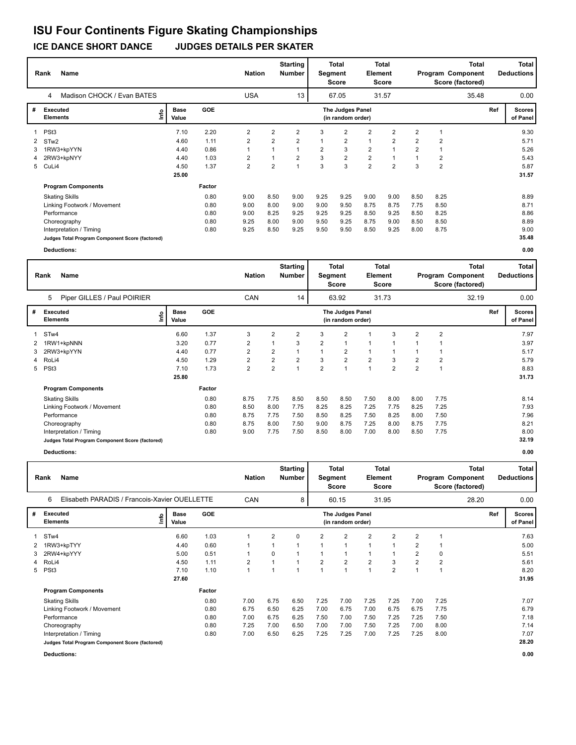|   | <b>Name</b><br>Rank                             |     |                      |            | <b>Nation</b>  |                | <b>Starting</b><br><b>Number</b> | Segment        | <b>Total</b><br>Score                        | Element        | <b>Total</b><br><b>Score</b> |                |                | <b>Total</b><br>Program Component<br>Score (factored) |     | <b>Total</b><br><b>Deductions</b> |
|---|-------------------------------------------------|-----|----------------------|------------|----------------|----------------|----------------------------------|----------------|----------------------------------------------|----------------|------------------------------|----------------|----------------|-------------------------------------------------------|-----|-----------------------------------|
|   | Madison CHOCK / Evan BATES<br>4                 |     |                      |            | <b>USA</b>     |                | 13                               |                | 67.05                                        |                | 31.57                        |                |                | 35.48                                                 |     | 0.00                              |
| # | <b>Executed</b><br><b>Elements</b>              | lmo | <b>Base</b><br>Value | <b>GOE</b> |                |                |                                  |                | <b>The Judges Panel</b><br>(in random order) |                |                              |                |                |                                                       | Ref | <b>Scores</b><br>of Panel         |
|   | PSt <sub>3</sub>                                |     | 7.10                 | 2.20       | 2              | 2              | $\overline{2}$                   | 3              | $\overline{2}$                               | 2              | $\overline{2}$               | $\overline{2}$ |                |                                                       |     | 9.30                              |
| 2 | STw <sub>2</sub>                                |     | 4.60                 | 1.11       | $\overline{2}$ | $\overline{2}$ | $\overline{2}$                   |                | $\overline{2}$                               | $\overline{1}$ | $\overline{2}$               | $\overline{2}$ | $\overline{2}$ |                                                       |     | 5.71                              |
| 3 | 1RW3+kpYYN                                      |     | 4.40                 | 0.86       |                |                |                                  | $\overline{2}$ | 3                                            | $\overline{2}$ | $\overline{1}$               | $\overline{2}$ |                |                                                       |     | 5.26                              |
| 4 | 2RW3+kpNYY                                      |     | 4.40                 | 1.03       | 2              |                | $\overline{2}$                   | 3              | $\overline{2}$                               | $\overline{2}$ | 1                            |                | 2              |                                                       |     | 5.43                              |
|   | 5 CuLi4                                         |     | 4.50                 | 1.37       | 2              | $\overline{2}$ |                                  | 3              | 3                                            | $\overline{2}$ | $\overline{2}$               | 3              | $\overline{2}$ |                                                       |     | 5.87                              |
|   |                                                 |     | 25.00                |            |                |                |                                  |                |                                              |                |                              |                |                |                                                       |     | 31.57                             |
|   | <b>Program Components</b>                       |     |                      | Factor     |                |                |                                  |                |                                              |                |                              |                |                |                                                       |     |                                   |
|   | <b>Skating Skills</b>                           |     |                      | 0.80       | 9.00           | 8.50           | 9.00                             | 9.25           | 9.25                                         | 9.00           | 9.00                         | 8.50           | 8.25           |                                                       |     | 8.89                              |
|   | Linking Footwork / Movement                     |     |                      | 0.80       | 9.00           | 8.00           | 9.00                             | 9.00           | 9.50                                         | 8.75           | 8.75                         | 7.75           | 8.50           |                                                       |     | 8.71                              |
|   | Performance                                     |     |                      | 0.80       | 9.00           | 8.25           | 9.25                             | 9.25           | 9.25                                         | 8.50           | 9.25                         | 8.50           | 8.25           |                                                       |     | 8.86                              |
|   | Choreography                                    |     |                      | 0.80       | 9.25           | 8.00           | 9.00                             | 9.50           | 9.25                                         | 8.75           | 9.00                         | 8.50           | 8.50           |                                                       |     | 8.89                              |
|   | Interpretation / Timing                         |     |                      | 0.80       | 9.25           | 8.50           | 9.25                             | 9.50           | 9.50                                         | 8.50           | 9.25                         | 8.00           | 8.75           |                                                       |     | 9.00                              |
|   | Judges Total Program Component Score (factored) |     |                      |            |                |                |                                  |                |                                              |                |                              |                |                |                                                       |     | 35.48                             |
|   |                                                 |     |                      |            |                |                |                                  |                |                                              |                |                              |                |                |                                                       |     |                                   |

**Deductions: 0.00**

L

|   | Name<br>Rank                                    |      |                      |            | <b>Nation</b>  |                | <b>Starting</b><br><b>Number</b> | Segment        | <b>Total</b><br><b>Score</b>          | Element        | <b>Total</b><br><b>Score</b> |                |                | <b>Total</b><br>Program Component<br>Score (factored) |     | <b>Total</b><br><b>Deductions</b> |
|---|-------------------------------------------------|------|----------------------|------------|----------------|----------------|----------------------------------|----------------|---------------------------------------|----------------|------------------------------|----------------|----------------|-------------------------------------------------------|-----|-----------------------------------|
|   | 5<br>Piper GILLES / Paul POIRIER                |      |                      |            | CAN            |                | 14                               |                | 63.92                                 |                | 31.73                        |                |                | 32.19                                                 |     | 0.00                              |
| # | <b>Executed</b><br><b>Elements</b>              | ١nf٥ | <b>Base</b><br>Value | <b>GOE</b> |                |                |                                  |                | The Judges Panel<br>(in random order) |                |                              |                |                |                                                       | Ref | <b>Scores</b><br>of Panel         |
|   | 1 STw4                                          |      | 6.60                 | 1.37       | 3              | $\overline{2}$ | 2                                | 3              | $\overline{2}$                        |                | 3                            | $\overline{2}$ | $\overline{2}$ |                                                       |     | 7.97                              |
| 2 | 1RW1+kpNNN                                      |      | 3.20                 | 0.77       | $\overline{2}$ |                | 3                                | $\overline{2}$ | $\mathbf{1}$                          | $\mathbf{1}$   |                              |                |                |                                                       |     | 3.97                              |
| 3 | 2RW3+kpYYN                                      |      | 4.40                 | 0.77       | $\overline{2}$ | $\overline{2}$ |                                  |                | $\overline{2}$                        | $\mathbf{1}$   |                              |                |                |                                                       |     | 5.17                              |
|   | 4 RoLi4                                         |      | 4.50                 | 1.29       | $\overline{2}$ | $\overline{2}$ | $\overline{2}$                   | 3              | $\overline{2}$                        | $\overline{2}$ | 3                            | $\overline{2}$ | $\overline{2}$ |                                                       |     | 5.79                              |
| 5 | PSt <sub>3</sub>                                |      | 7.10                 | 1.73       | $\overline{2}$ | $\overline{2}$ |                                  | $\overline{2}$ | $\overline{1}$                        | $\overline{A}$ | $\overline{2}$               | $\overline{2}$ |                |                                                       |     | 8.83                              |
|   |                                                 |      | 25.80                |            |                |                |                                  |                |                                       |                |                              |                |                |                                                       |     | 31.73                             |
|   | <b>Program Components</b>                       |      |                      | Factor     |                |                |                                  |                |                                       |                |                              |                |                |                                                       |     |                                   |
|   | <b>Skating Skills</b>                           |      |                      | 0.80       | 8.75           | 7.75           | 8.50                             | 8.50           | 8.50                                  | 7.50           | 8.00                         | 8.00           | 7.75           |                                                       |     | 8.14                              |
|   | Linking Footwork / Movement                     |      |                      | 0.80       | 8.50           | 8.00           | 7.75                             | 8.25           | 8.25                                  | 7.25           | 7.75                         | 8.25           | 7.25           |                                                       |     | 7.93                              |
|   | Performance                                     |      |                      | 0.80       | 8.75           | 7.75           | 7.50                             | 8.50           | 8.25                                  | 7.50           | 8.25                         | 8.00           | 7.50           |                                                       |     | 7.96                              |
|   | Choreography                                    |      |                      | 0.80       | 8.75           | 8.00           | 7.50                             | 9.00           | 8.75                                  | 7.25           | 8.00                         | 8.75           | 7.75           |                                                       |     | 8.21                              |
|   | Interpretation / Timing                         |      |                      | 0.80       | 9.00           | 7.75           | 7.50                             | 8.50           | 8.00                                  | 7.00           | 8.00                         | 8.50           | 7.75           |                                                       |     | 8.00                              |
|   | Judges Total Program Component Score (factored) |      |                      |            |                |                |                                  |                |                                       |                |                              |                |                |                                                       |     | 32.19                             |

**Deductions: 0.00**

|   | Name<br>Rank                                       |                                     |        | <b>Nation</b>  |                | <b>Starting</b><br><b>Number</b> | Segment        | Total<br><b>Score</b>                 | Element        | Total<br><b>Score</b> |                |                | Total<br>Program Component<br>Score (factored) |     | <b>Total</b><br><b>Deductions</b> |
|---|----------------------------------------------------|-------------------------------------|--------|----------------|----------------|----------------------------------|----------------|---------------------------------------|----------------|-----------------------|----------------|----------------|------------------------------------------------|-----|-----------------------------------|
|   | 6<br>Elisabeth PARADIS / Francois-Xavier OUELLETTE |                                     |        | CAN            |                | 8                                |                | 60.15                                 |                | 31.95                 |                |                | 28.20                                          |     | 0.00                              |
| # | Executed<br>Elements                               | <b>Base</b><br><u>info</u><br>Value | GOE    |                |                |                                  |                | The Judges Panel<br>(in random order) |                |                       |                |                |                                                | Ref | <b>Scores</b><br>of Panel         |
|   | 1 STw4                                             | 6.60                                | 1.03   | 1              | $\overline{2}$ | 0                                | 2              | 2                                     | $\overline{2}$ | 2                     | 2              | 1              |                                                |     | 7.63                              |
| 2 | 1RW3+kpTYY                                         | 4.40                                | 0.60   |                | 1              |                                  |                | 1                                     | 1              |                       | $\overline{2}$ |                |                                                |     | 5.00                              |
| 3 | 2RW4+kpYYY                                         | 5.00                                | 0.51   | 1              | 0              |                                  |                | 1                                     |                |                       | $\overline{2}$ | 0              |                                                |     | 5.51                              |
| 4 | RoLi4                                              | 4.50                                | 1.11   | $\overline{2}$ | 1              |                                  | $\overline{2}$ | $\overline{2}$                        | $\overline{2}$ | 3                     | $\overline{2}$ | $\overline{2}$ |                                                |     | 5.61                              |
| 5 | PSt <sub>3</sub>                                   | 7.10                                | 1.10   | 1              | 1              |                                  |                | $\mathbf{1}$                          | 1              | $\overline{2}$        | 1              | 1              |                                                |     | 8.20                              |
|   |                                                    | 27.60                               |        |                |                |                                  |                |                                       |                |                       |                |                |                                                |     | 31.95                             |
|   | <b>Program Components</b>                          |                                     | Factor |                |                |                                  |                |                                       |                |                       |                |                |                                                |     |                                   |
|   | <b>Skating Skills</b>                              |                                     | 0.80   | 7.00           | 6.75           | 6.50                             | 7.25           | 7.00                                  | 7.25           | 7.25                  | 7.00           | 7.25           |                                                |     | 7.07                              |
|   | Linking Footwork / Movement                        |                                     | 0.80   | 6.75           | 6.50           | 6.25                             | 7.00           | 6.75                                  | 7.00           | 6.75                  | 6.75           | 7.75           |                                                |     | 6.79                              |
|   | Performance                                        |                                     | 0.80   | 7.00           | 6.75           | 6.25                             | 7.50           | 7.00                                  | 7.50           | 7.25                  | 7.25           | 7.50           |                                                |     | 7.18                              |
|   | Choreography                                       |                                     | 0.80   | 7.25           | 7.00           | 6.50                             | 7.00           | 7.00                                  | 7.50           | 7.25                  | 7.00           | 8.00           |                                                |     | 7.14                              |
|   | Interpretation / Timing                            |                                     | 0.80   | 7.00           | 6.50           | 6.25                             | 7.25           | 7.25                                  | 7.00           | 7.25                  | 7.25           | 8.00           |                                                |     | 7.07                              |
|   | Judges Total Program Component Score (factored)    |                                     |        |                |                |                                  |                |                                       |                |                       |                |                |                                                |     | 28.20                             |
|   | <b>Deductions:</b>                                 |                                     |        |                |                |                                  |                |                                       |                |                       |                |                |                                                |     | 0.00                              |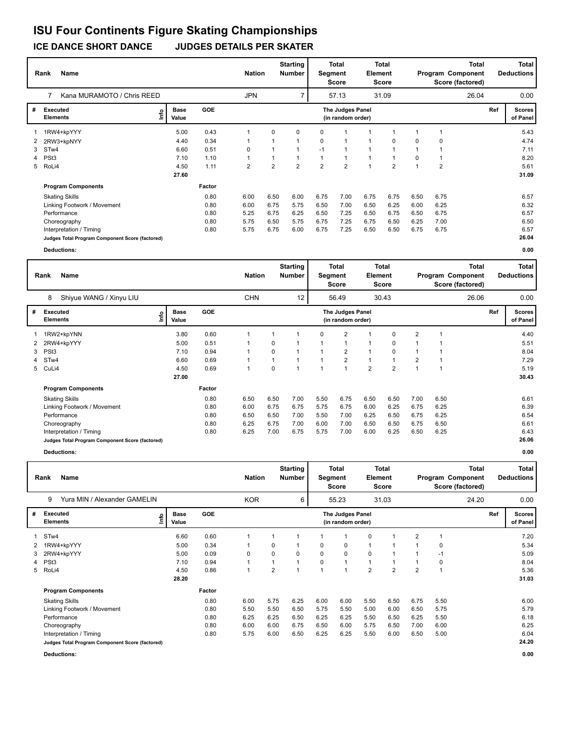|   | Name<br>Rank                                    |                      |            | <b>Nation</b>  |                | <b>Starting</b><br><b>Number</b> | Segment        | <b>Total</b><br><b>Score</b>          | Element        | <b>Total</b><br><b>Score</b> |      | Total<br>Program Component<br>Score (factored) |     | <b>Total</b><br><b>Deductions</b> |
|---|-------------------------------------------------|----------------------|------------|----------------|----------------|----------------------------------|----------------|---------------------------------------|----------------|------------------------------|------|------------------------------------------------|-----|-----------------------------------|
|   | Kana MURAMOTO / Chris REED<br>7                 |                      |            | <b>JPN</b>     |                | $\overline{7}$                   |                | 57.13                                 |                | 31.09                        |      | 26.04                                          |     | 0.00                              |
| # | <b>Executed</b><br>lmo<br><b>Elements</b>       | <b>Base</b><br>Value | <b>GOE</b> |                |                |                                  |                | The Judges Panel<br>(in random order) |                |                              |      |                                                | Ref | <b>Scores</b><br>of Panel         |
|   | 1RW4+kpYYY                                      | 5.00                 | 0.43       |                | 0              | $\Omega$                         | 0              | 1                                     |                |                              |      |                                                |     | 5.43                              |
| 2 | 2RW3+kpNYY                                      | 4.40                 | 0.34       |                |                |                                  | 0              | $\mathbf{1}$                          | 1              | $\Omega$                     | 0    | 0                                              |     | 4.74                              |
| 3 | STw4                                            | 6.60                 | 0.51       | 0              |                |                                  | $-1$           | 1                                     |                |                              |      |                                                |     | 7.11                              |
| 4 | PSt <sub>3</sub>                                | 7.10                 | 1.10       |                |                |                                  |                | 1                                     |                |                              | 0    |                                                |     | 8.20                              |
| 5 | RoLi4                                           | 4.50                 | 1.11       | $\overline{2}$ | $\overline{2}$ | 2                                | $\overline{2}$ | $\overline{2}$                        | $\overline{ }$ | $\overline{2}$               |      | $\overline{2}$                                 |     | 5.61                              |
|   |                                                 | 27.60                |            |                |                |                                  |                |                                       |                |                              |      |                                                |     | 31.09                             |
|   | <b>Program Components</b>                       |                      | Factor     |                |                |                                  |                |                                       |                |                              |      |                                                |     |                                   |
|   | <b>Skating Skills</b>                           |                      | 0.80       | 6.00           | 6.50           | 6.00                             | 6.75           | 7.00                                  | 6.75           | 6.75                         | 6.50 | 6.75                                           |     | 6.57                              |
|   | Linking Footwork / Movement                     |                      | 0.80       | 6.00           | 6.75           | 5.75                             | 6.50           | 7.00                                  | 6.50           | 6.25                         | 6.00 | 6.25                                           |     | 6.32                              |
|   | Performance                                     |                      | 0.80       | 5.25           | 6.75           | 6.25                             | 6.50           | 7.25                                  | 6.50           | 6.75                         | 6.50 | 6.75                                           |     | 6.57                              |
|   | Choreography                                    |                      | 0.80       | 5.75           | 6.50           | 5.75                             | 6.75           | 7.25                                  | 6.75           | 6.50                         | 6.25 | 7.00                                           |     | 6.50                              |
|   | Interpretation / Timing                         |                      | 0.80       | 5.75           | 6.75           | 6.00                             | 6.75           | 7.25                                  | 6.50           | 6.50                         | 6.75 | 6.75                                           |     | 6.57                              |
|   | Judges Total Program Component Score (factored) |                      |            |                |                |                                  |                |                                       |                |                              |      |                                                |     | 26.04                             |

**Deductions: 0.00**

|   | Name<br>Rank                                    |                      |            | <b>Nation</b> |             | <b>Starting</b><br><b>Number</b> | Segment        | <b>Total</b><br><b>Score</b>          | Element        | <b>Total</b><br><b>Score</b> |                |      | <b>Total</b><br>Program Component<br>Score (factored) |     | <b>Total</b><br><b>Deductions</b> |
|---|-------------------------------------------------|----------------------|------------|---------------|-------------|----------------------------------|----------------|---------------------------------------|----------------|------------------------------|----------------|------|-------------------------------------------------------|-----|-----------------------------------|
|   | 8<br>Shiyue WANG / Xinyu LIU                    |                      |            | <b>CHN</b>    |             | 12                               |                | 56.49                                 |                | 30.43                        |                |      | 26.06                                                 |     | 0.00                              |
| # | Executed<br>Info<br><b>Elements</b>             | <b>Base</b><br>Value | <b>GOE</b> |               |             |                                  |                | The Judges Panel<br>(in random order) |                |                              |                |      |                                                       | Ref | Scores  <br>of Panel              |
|   | 1RW2+kpYNN                                      | 3.80                 | 0.60       |               |             |                                  | 0              | $\overline{2}$                        |                | 0                            | $\overline{2}$ |      |                                                       |     | 4.40                              |
|   | 2 2RW4+kpYYY                                    | 5.00                 | 0.51       |               | $\mathbf 0$ |                                  | 1              | $\mathbf{1}$                          | $\mathbf{1}$   | 0                            |                |      |                                                       |     | 5.51                              |
| 3 | PSt <sub>3</sub>                                | 7.10                 | 0.94       |               | $\Omega$    |                                  | 1              | $\overline{2}$                        | $\mathbf{1}$   | 0                            |                |      |                                                       |     | 8.04                              |
|   | 4 STw4                                          | 6.60                 | 0.69       |               |             |                                  | 1              | $\overline{2}$                        | $\mathbf{1}$   |                              | $\overline{2}$ |      |                                                       |     | 7.29                              |
|   | 5 CuLi4                                         | 4.50                 | 0.69       |               | 0           |                                  | $\overline{1}$ | $\mathbf{1}$                          | $\overline{2}$ | $\overline{2}$               |                |      |                                                       |     | 5.19                              |
|   |                                                 | 27.00                |            |               |             |                                  |                |                                       |                |                              |                |      |                                                       |     | 30.43                             |
|   | <b>Program Components</b>                       |                      | Factor     |               |             |                                  |                |                                       |                |                              |                |      |                                                       |     |                                   |
|   | <b>Skating Skills</b>                           |                      | 0.80       | 6.50          | 6.50        | 7.00                             | 5.50           | 6.75                                  | 6.50           | 6.50                         | 7.00           | 6.50 |                                                       |     | 6.61                              |
|   | Linking Footwork / Movement                     |                      | 0.80       | 6.00          | 6.75        | 6.75                             | 5.75           | 6.75                                  | 6.00           | 6.25                         | 6.75           | 6.25 |                                                       |     | 6.39                              |
|   | Performance                                     |                      | 0.80       | 6.50          | 6.50        | 7.00                             | 5.50           | 7.00                                  | 6.25           | 6.50                         | 6.75           | 6.25 |                                                       |     | 6.54                              |
|   | Choreography                                    |                      | 0.80       | 6.25          | 6.75        | 7.00                             | 6.00           | 7.00                                  | 6.50           | 6.50                         | 6.75           | 6.50 |                                                       |     | 6.61                              |
|   | Interpretation / Timing                         |                      | 0.80       | 6.25          | 7.00        | 6.75                             | 5.75           | 7.00                                  | 6.00           | 6.25                         | 6.50           | 6.25 |                                                       |     | 6.43                              |
|   | Judges Total Program Component Score (factored) |                      |            |               |             |                                  |                |                                       |                |                              |                |      |                                                       |     | 26.06                             |

**Deductions: 0.00**

|   | Name<br>Rank                                    |                      |        | <b>Nation</b> |                | <b>Starting</b><br>Number | <b>Segment</b> | Total<br><b>Score</b>                 | Element        | <b>Total</b><br><b>Score</b> |                |             | <b>Total</b><br>Program Component<br>Score (factored) |     | <b>Total</b><br><b>Deductions</b> |
|---|-------------------------------------------------|----------------------|--------|---------------|----------------|---------------------------|----------------|---------------------------------------|----------------|------------------------------|----------------|-------------|-------------------------------------------------------|-----|-----------------------------------|
|   | Yura MIN / Alexander GAMELIN<br>9               |                      |        | <b>KOR</b>    |                | 6                         |                | 55.23                                 |                | 31.03                        |                |             | 24.20                                                 |     | 0.00                              |
| # | Executed<br><u>info</u><br><b>Elements</b>      | <b>Base</b><br>Value | GOE    |               |                |                           |                | The Judges Panel<br>(in random order) |                |                              |                |             |                                                       | Ref | <b>Scores</b><br>of Panel         |
| 1 | STw4                                            | 6.60                 | 0.60   | 1             | 1              |                           |                | 1                                     | 0              |                              | 2              | $\mathbf 1$ |                                                       |     | 7.20                              |
| 2 | 1RW4+kpYYY                                      | 5.00                 | 0.34   | 1             | 0              |                           | 0              | 0                                     | 1              |                              | 1              | 0           |                                                       |     | 5.34                              |
| 3 | 2RW4+kpYYY                                      | 5.00                 | 0.09   | 0             | 0              | 0                         | 0              | 0                                     | 0              |                              |                | $-1$        |                                                       |     | 5.09                              |
| 4 | PSt3                                            | 7.10                 | 0.94   |               | 1              |                           | 0              | $\mathbf{1}$                          | 1              | $\mathbf{1}$                 |                | 0           |                                                       |     | 8.04                              |
|   | 5 RoLi4                                         | 4.50                 | 0.86   | 1             | $\overline{2}$ |                           |                | $\overline{1}$                        | $\overline{2}$ | $\overline{2}$               | $\overline{2}$ | 1           |                                                       |     | 5.36                              |
|   |                                                 | 28.20                |        |               |                |                           |                |                                       |                |                              |                |             |                                                       |     | 31.03                             |
|   | <b>Program Components</b>                       |                      | Factor |               |                |                           |                |                                       |                |                              |                |             |                                                       |     |                                   |
|   | <b>Skating Skills</b>                           |                      | 0.80   | 6.00          | 5.75           | 6.25                      | 6.00           | 6.00                                  | 5.50           | 6.50                         | 6.75           | 5.50        |                                                       |     | 6.00                              |
|   | Linking Footwork / Movement                     |                      | 0.80   | 5.50          | 5.50           | 6.50                      | 5.75           | 5.50                                  | 5.00           | 6.00                         | 6.50           | 5.75        |                                                       |     | 5.79                              |
|   | Performance                                     |                      | 0.80   | 6.25          | 6.25           | 6.50                      | 6.25           | 6.25                                  | 5.50           | 6.50                         | 6.25           | 5.50        |                                                       |     | 6.18                              |
|   | Choreography                                    |                      | 0.80   | 6.00          | 6.00           | 6.75                      | 6.50           | 6.00                                  | 5.75           | 6.50                         | 7.00           | 6.00        |                                                       |     | 6.25                              |
|   | Interpretation / Timing                         |                      | 0.80   | 5.75          | 6.00           | 6.50                      | 6.25           | 6.25                                  | 5.50           | 6.00                         | 6.50           | 5.00        |                                                       |     | 6.04                              |
|   | Judges Total Program Component Score (factored) |                      |        |               |                |                           |                |                                       |                |                              |                |             |                                                       |     | 24.20                             |
|   | <b>Deductions:</b>                              |                      |        |               |                |                           |                |                                       |                |                              |                |             |                                                       |     | 0.00                              |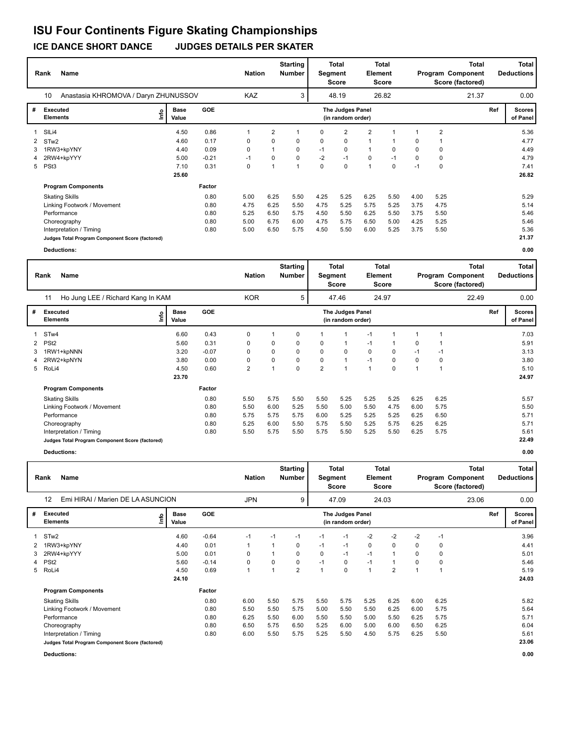|   | <b>Name</b><br>Rank                             |                      |            | <b>Nation</b> |                | <b>Starting</b><br><b>Number</b> | Segment | <b>Total</b><br><b>Score</b>          | <b>Element</b> | <b>Total</b><br><b>Score</b> |          |                | Total<br>Program Component<br>Score (factored) |     | <b>Total</b><br><b>Deductions</b> |
|---|-------------------------------------------------|----------------------|------------|---------------|----------------|----------------------------------|---------|---------------------------------------|----------------|------------------------------|----------|----------------|------------------------------------------------|-----|-----------------------------------|
|   | 10<br>Anastasia KHROMOVA / Daryn ZHUNUSSOV      |                      |            | <b>KAZ</b>    |                | 3                                |         | 48.19                                 |                | 26.82                        |          |                | 21.37                                          |     | 0.00                              |
| # | Executed<br>lmo<br><b>Elements</b>              | <b>Base</b><br>Value | <b>GOE</b> |               |                |                                  |         | The Judges Panel<br>(in random order) |                |                              |          |                |                                                | Ref | <b>Scores</b><br>of Panel         |
| 1 | SILi4                                           | 4.50                 | 0.86       | 1             | $\overline{2}$ | 1                                | 0       | $\overline{2}$                        | 2              | 1                            | 1        | $\overline{2}$ |                                                |     | 5.36                              |
|   | 2 STw2                                          | 4.60                 | 0.17       | 0             | 0              | 0                                | 0       | 0                                     | $\mathbf{1}$   | -1                           | 0        | 1              |                                                |     | 4.77                              |
| 3 | 1RW3+kpYNY                                      | 4.40                 | 0.09       | 0             |                | 0                                | $-1$    | 0                                     | $\mathbf{1}$   | 0                            | 0        | 0              |                                                |     | 4.49                              |
| 4 | 2RW4+kpYYY                                      | 5.00                 | $-0.21$    | $-1$          | $\Omega$       | $\Omega$                         | $-2$    | $-1$                                  | 0              | $-1$                         | $\Omega$ | $\mathbf 0$    |                                                |     | 4.79                              |
| 5 | PSt <sub>3</sub>                                | 7.10                 | 0.31       | 0             |                | 1                                | 0       | $\Omega$                              | $\overline{1}$ | 0                            | $-1$     | $\mathbf 0$    |                                                |     | 7.41                              |
|   |                                                 | 25.60                |            |               |                |                                  |         |                                       |                |                              |          |                |                                                |     | 26.82                             |
|   | <b>Program Components</b>                       |                      | Factor     |               |                |                                  |         |                                       |                |                              |          |                |                                                |     |                                   |
|   | <b>Skating Skills</b>                           |                      | 0.80       | 5.00          | 6.25           | 5.50                             | 4.25    | 5.25                                  | 6.25           | 5.50                         | 4.00     | 5.25           |                                                |     | 5.29                              |
|   | Linking Footwork / Movement                     |                      | 0.80       | 4.75          | 6.25           | 5.50                             | 4.75    | 5.25                                  | 5.75           | 5.25                         | 3.75     | 4.75           |                                                |     | 5.14                              |
|   | Performance                                     |                      | 0.80       | 5.25          | 6.50           | 5.75                             | 4.50    | 5.50                                  | 6.25           | 5.50                         | 3.75     | 5.50           |                                                |     | 5.46                              |
|   | Choreography                                    |                      | 0.80       | 5.00          | 6.75           | 6.00                             | 4.75    | 5.75                                  | 6.50           | 5.00                         | 4.25     | 5.25           |                                                |     | 5.46                              |
|   | Interpretation / Timing                         |                      | 0.80       | 5.00          | 6.50           | 5.75                             | 4.50    | 5.50                                  | 6.00           | 5.25                         | 3.75     | 5.50           |                                                |     | 5.36                              |
|   | Judges Total Program Component Score (factored) |                      |            |               |                |                                  |         |                                       |                |                              |          |                |                                                |     | 21.37                             |
|   | <b>Deductions:</b>                              |                      |            |               |                |                                  |         |                                       |                |                              |          |                |                                                |     | 0.00                              |

| Deductions: |  |
|-------------|--|
|             |  |

| Name<br>Rank |                                                 |      |                      |            |                | <b>Nation</b> | <b>Starting</b><br><b>Number</b> | Segment        | <b>Total</b><br>Score                 | <b>Total</b><br>Element<br><b>Score</b> |             | Program Component |             | <b>Total</b><br>Score (factored) |     | <b>Total</b><br><b>Deductions</b> |  |
|--------------|-------------------------------------------------|------|----------------------|------------|----------------|---------------|----------------------------------|----------------|---------------------------------------|-----------------------------------------|-------------|-------------------|-------------|----------------------------------|-----|-----------------------------------|--|
|              | Ho Jung LEE / Richard Kang In KAM<br>11         |      |                      |            | <b>KOR</b>     |               | 5                                |                | 47.46                                 |                                         | 24.97       |                   |             | 22.49                            |     | 0.00                              |  |
| #            | Executed<br><b>Elements</b>                     | lnfo | <b>Base</b><br>Value | <b>GOE</b> |                |               |                                  |                | The Judges Panel<br>(in random order) |                                         |             |                   |             |                                  | Ref | <b>Scores</b><br>of Panel         |  |
|              | 1 STw4                                          |      | 6.60                 | 0.43       | 0              |               | 0                                |                | 1                                     | $-1$                                    |             |                   |             |                                  |     | 7.03                              |  |
|              | 2 PSt <sub>2</sub>                              |      | 5.60                 | 0.31       | 0              | 0             | 0                                | 0              | 1                                     | $-1$                                    |             | 0                 |             |                                  |     | 5.91                              |  |
| 3            | 1RW1+kpNNN                                      |      | 3.20                 | $-0.07$    | 0              | $\Omega$      | $\Omega$                         | 0              | 0                                     | $\mathbf 0$                             | 0           | $-1$              | $-1$        |                                  |     | 3.13                              |  |
|              | 4 2RW2+kpNYN                                    |      | 3.80                 | 0.00       | 0              | 0             | 0                                | 0              | $\mathbf{1}$                          | $-1$                                    | 0           | 0                 | $\mathbf 0$ |                                  |     | 3.80                              |  |
|              | 5 RoLi4                                         |      | 4.50                 | 0.60       | $\overline{2}$ |               | 0                                | $\overline{2}$ | $\mathbf{1}$                          | $\overline{1}$                          | $\mathbf 0$ |                   |             |                                  |     | 5.10                              |  |
|              |                                                 |      | 23.70                |            |                |               |                                  |                |                                       |                                         |             |                   |             |                                  |     | 24.97                             |  |
|              | <b>Program Components</b>                       |      |                      | Factor     |                |               |                                  |                |                                       |                                         |             |                   |             |                                  |     |                                   |  |
|              | <b>Skating Skills</b>                           |      |                      | 0.80       | 5.50           | 5.75          | 5.50                             | 5.50           | 5.25                                  | 5.25                                    | 5.25        | 6.25              | 6.25        |                                  |     | 5.57                              |  |
|              | Linking Footwork / Movement                     |      |                      | 0.80       | 5.50           | 6.00          | 5.25                             | 5.50           | 5.00                                  | 5.50                                    | 4.75        | 6.00              | 5.75        |                                  |     | 5.50                              |  |
|              | Performance                                     |      |                      | 0.80       | 5.75           | 5.75          | 5.75                             | 6.00           | 5.25                                  | 5.25                                    | 5.25        | 6.25              | 6.50        |                                  |     | 5.71                              |  |
|              | Choreography                                    |      |                      | 0.80       | 5.25           | 6.00          | 5.50                             | 5.75           | 5.50                                  | 5.25                                    | 5.75        | 6.25              | 6.25        |                                  |     | 5.71                              |  |
|              | Interpretation / Timing                         |      |                      | 0.80       | 5.50           | 5.75          | 5.50                             | 5.75           | 5.50                                  | 5.25                                    | 5.50        | 6.25              | 5.75        |                                  |     | 5.61                              |  |
|              | Judges Total Program Component Score (factored) |      |                      |            |                |               |                                  |                |                                       |                                         |             |                   |             |                                  |     | 22.49                             |  |

**Deductions: 0.00**

|   | Name<br>Rank                                    |                      |            |            | <b>Starting</b><br><b>Nation</b><br>Number |                | Total<br>Segment<br><b>Score</b> |                                       | <b>Total</b><br>Element<br><b>Score</b> |                | <b>Total</b><br>Program Component<br>Score (factored) |      |       |     | <b>Total</b><br><b>Deductions</b> |
|---|-------------------------------------------------|----------------------|------------|------------|--------------------------------------------|----------------|----------------------------------|---------------------------------------|-----------------------------------------|----------------|-------------------------------------------------------|------|-------|-----|-----------------------------------|
|   | 12<br>Emi HIRAI / Marien DE LA ASUNCION         |                      |            | <b>JPN</b> |                                            | 9              |                                  | 47.09                                 |                                         | 24.03          |                                                       |      | 23.06 |     | 0.00                              |
| # | Executed<br>١nfo<br><b>Elements</b>             | <b>Base</b><br>Value | <b>GOE</b> |            |                                            |                |                                  | The Judges Panel<br>(in random order) |                                         |                |                                                       |      |       | Ref | <b>Scores</b><br>of Panel         |
|   | 1 STw2                                          | 4.60                 | $-0.64$    | $-1$       | $-1$                                       | $-1$           | $-1$                             | $-1$                                  | $-2$                                    | $-2$           | $-2$                                                  | $-1$ |       |     | 3.96                              |
| 2 | 1RW3+kpYNY                                      | 4.40                 | 0.01       |            | 1                                          | 0              | $-1$                             | $-1$                                  | 0                                       | 0              | 0                                                     | 0    |       |     | 4.41                              |
| 3 | 2RW4+kpYYY                                      | 5.00                 | 0.01       | 0          | -1                                         | 0              | 0                                | $-1$                                  | $-1$                                    | $\mathbf 1$    | 0                                                     | 0    |       |     | 5.01                              |
|   | 4 PSt <sub>2</sub>                              | 5.60                 | $-0.14$    | 0          | 0                                          | 0              | $-1$                             | 0                                     | $-1$                                    | $\mathbf{1}$   | 0                                                     | 0    |       |     | 5.46                              |
|   | 5 RoLi4                                         | 4.50                 | 0.69       | 1          | 1                                          | $\overline{2}$ |                                  | $\mathbf 0$                           | $\mathbf{1}$                            | $\overline{2}$ | 1                                                     | 1    |       |     | 5.19                              |
|   |                                                 | 24.10                |            |            |                                            |                |                                  |                                       |                                         |                |                                                       |      |       |     | 24.03                             |
|   | <b>Program Components</b>                       |                      | Factor     |            |                                            |                |                                  |                                       |                                         |                |                                                       |      |       |     |                                   |
|   | <b>Skating Skills</b>                           |                      | 0.80       | 6.00       | 5.50                                       | 5.75           | 5.50                             | 5.75                                  | 5.25                                    | 6.25           | 6.00                                                  | 6.25 |       |     | 5.82                              |
|   | Linking Footwork / Movement                     |                      | 0.80       | 5.50       | 5.50                                       | 5.75           | 5.00                             | 5.50                                  | 5.50                                    | 6.25           | 6.00                                                  | 5.75 |       |     | 5.64                              |
|   | Performance                                     |                      | 0.80       | 6.25       | 5.50                                       | 6.00           | 5.50                             | 5.50                                  | 5.00                                    | 5.50           | 6.25                                                  | 5.75 |       |     | 5.71                              |
|   | Choreography                                    |                      | 0.80       | 6.50       | 5.75                                       | 6.50           | 5.25                             | 6.00                                  | 5.00                                    | 6.00           | 6.50                                                  | 6.25 |       |     | 6.04                              |
|   | Interpretation / Timing                         |                      | 0.80       | 6.00       | 5.50                                       | 5.75           | 5.25                             | 5.50                                  | 4.50                                    | 5.75           | 6.25                                                  | 5.50 |       |     | 5.61                              |
|   | Judges Total Program Component Score (factored) |                      |            |            |                                            |                |                                  |                                       |                                         |                |                                                       |      |       |     | 23.06                             |
|   | <b>Deductions:</b>                              |                      |            |            |                                            |                |                                  |                                       |                                         |                |                                                       |      |       |     | 0.00                              |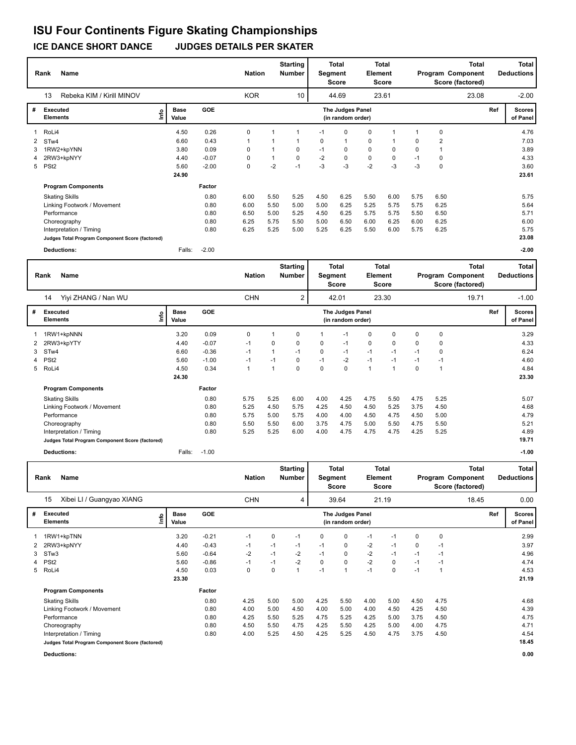| <b>Name</b><br>Rank |                                                 |                      |            | <b>Nation</b> |      | <b>Starting</b><br><b>Number</b> | <b>Total</b><br><b>Segment</b><br>Score |                                              | <b>Total</b><br><b>Element</b><br><b>Score</b> |       | Program Component |                | <b>Total</b><br>Score (factored) |     | <b>Total</b><br><b>Deductions</b> |
|---------------------|-------------------------------------------------|----------------------|------------|---------------|------|----------------------------------|-----------------------------------------|----------------------------------------------|------------------------------------------------|-------|-------------------|----------------|----------------------------------|-----|-----------------------------------|
|                     | 13<br>Rebeka KIM / Kirill MINOV                 |                      |            | <b>KOR</b>    |      | 10                               |                                         | 44.69                                        |                                                | 23.61 |                   |                | 23.08                            |     | $-2.00$                           |
| #                   | Executed<br>Info<br><b>Elements</b>             | <b>Base</b><br>Value | <b>GOE</b> |               |      |                                  |                                         | <b>The Judges Panel</b><br>(in random order) |                                                |       |                   |                |                                  | Ref | <b>Scores</b><br>of Panel         |
| 1                   | RoLi4                                           | 4.50                 | 0.26       | 0             |      |                                  | $-1$                                    | 0                                            | 0                                              |       |                   | 0              |                                  |     | 4.76                              |
|                     | 2 STw4                                          | 6.60                 | 0.43       | $\mathbf{1}$  |      |                                  | 0                                       | $\mathbf{1}$                                 | 0                                              |       | 0                 | $\overline{2}$ |                                  |     | 7.03                              |
| 3                   | 1RW2+kpYNN                                      | 3.80                 | 0.09       | 0             |      | 0                                | $-1$                                    | 0                                            | 0                                              | 0     | 0                 |                |                                  |     | 3.89                              |
| 4                   | 2RW3+kpNYY                                      | 4.40                 | $-0.07$    | 0             | 1    | 0                                | $-2$                                    | $\mathbf 0$                                  | $\mathbf 0$                                    | 0     | $-1$              | 0              |                                  |     | 4.33                              |
|                     | 5 PSt2                                          | 5.60                 | $-2.00$    | 0             | $-2$ | $-1$                             | $-3$                                    | $-3$                                         | $-2$                                           | $-3$  | $-3$              | 0              |                                  |     | 3.60                              |
|                     |                                                 | 24.90                |            |               |      |                                  |                                         |                                              |                                                |       |                   |                |                                  |     | 23.61                             |
|                     | <b>Program Components</b>                       |                      | Factor     |               |      |                                  |                                         |                                              |                                                |       |                   |                |                                  |     |                                   |
|                     | <b>Skating Skills</b>                           |                      | 0.80       | 6.00          | 5.50 | 5.25                             | 4.50                                    | 6.25                                         | 5.50                                           | 6.00  | 5.75              | 6.50           |                                  |     | 5.75                              |
|                     | Linking Footwork / Movement                     |                      | 0.80       | 6.00          | 5.50 | 5.00                             | 5.00                                    | 6.25                                         | 5.25                                           | 5.75  | 5.75              | 6.25           |                                  |     | 5.64                              |
|                     | Performance                                     |                      | 0.80       | 6.50          | 5.00 | 5.25                             | 4.50                                    | 6.25                                         | 5.75                                           | 5.75  | 5.50              | 6.50           |                                  |     | 5.71                              |
|                     | Choreography                                    |                      | 0.80       | 6.25          | 5.75 | 5.50                             | 5.00                                    | 6.50                                         | 6.00                                           | 6.25  | 6.00              | 6.25           |                                  |     | 6.00                              |
|                     | Interpretation / Timing                         |                      | 0.80       | 6.25          | 5.25 | 5.00                             | 5.25                                    | 6.25                                         | 5.50                                           | 6.00  | 5.75              | 6.25           |                                  |     | 5.75                              |
|                     | Judges Total Program Component Score (factored) |                      |            |               |      |                                  |                                         |                                              |                                                |       |                   |                |                                  |     | 23.08                             |
|                     | <b>Deductions:</b>                              | Falls:               | $-2.00$    |               |      |                                  |                                         |                                              |                                                |       |                   |                |                                  |     | $-2.00$                           |

|   | Name<br>Rank                                    |                      |            | <b>Nation</b> |      | <b>Starting</b><br><b>Number</b> | <b>Total</b><br>Segment<br><b>Score</b> |                                       | <b>Total</b><br>Element<br>Score |       | <b>Total</b><br>Program Component<br>Score (factored) |      |       |     | Total<br><b>Deductions</b> |
|---|-------------------------------------------------|----------------------|------------|---------------|------|----------------------------------|-----------------------------------------|---------------------------------------|----------------------------------|-------|-------------------------------------------------------|------|-------|-----|----------------------------|
|   | Yiyi ZHANG / Nan WU<br>14                       |                      |            | <b>CHN</b>    |      | 2                                |                                         | 42.01                                 |                                  | 23.30 |                                                       |      | 19.71 |     | $-1.00$                    |
| # | Executed<br>lnfo<br><b>Elements</b>             | <b>Base</b><br>Value | <b>GOE</b> |               |      |                                  |                                         | The Judges Panel<br>(in random order) |                                  |       |                                                       |      |       | Ref | <b>Scores</b><br>of Panel  |
|   | 1RW1+kpNNN                                      | 3.20                 | 0.09       | 0             |      | $\Omega$                         |                                         | $-1$                                  | 0                                | 0     | 0                                                     | 0    |       |     | 3.29                       |
| 2 | 2RW3+kpYTY                                      | 4.40                 | $-0.07$    | $-1$          | 0    | $\Omega$                         | 0                                       | $-1$                                  | $\mathbf 0$                      | 0     | $\Omega$                                              | 0    |       |     | 4.33                       |
| 3 | STw4                                            | 6.60                 | $-0.36$    | $-1$          |      | $-1$                             | 0                                       | $-1$                                  | $-1$                             | $-1$  | $-1$                                                  | 0    |       |     | 6.24                       |
| 4 | PS <sub>t2</sub>                                | 5.60                 | $-1.00$    | $-1$          | $-1$ | 0                                | $-1$                                    | $-2$                                  | $-1$                             | $-1$  | $-1$                                                  | $-1$ |       |     | 4.60                       |
| 5 | RoLi4                                           | 4.50                 | 0.34       | 1             | 1    | $\mathbf 0$                      | $\mathbf 0$                             | $\pmb{0}$                             | $\mathbf{1}$                     | 1     | 0                                                     | 1    |       |     | 4.84                       |
|   |                                                 | 24.30                |            |               |      |                                  |                                         |                                       |                                  |       |                                                       |      |       |     | 23.30                      |
|   | <b>Program Components</b>                       |                      | Factor     |               |      |                                  |                                         |                                       |                                  |       |                                                       |      |       |     |                            |
|   | <b>Skating Skills</b>                           |                      | 0.80       | 5.75          | 5.25 | 6.00                             | 4.00                                    | 4.25                                  | 4.75                             | 5.50  | 4.75                                                  | 5.25 |       |     | 5.07                       |
|   | Linking Footwork / Movement                     |                      | 0.80       | 5.25          | 4.50 | 5.75                             | 4.25                                    | 4.50                                  | 4.50                             | 5.25  | 3.75                                                  | 4.50 |       |     | 4.68                       |
|   | Performance                                     |                      | 0.80       | 5.75          | 5.00 | 5.75                             | 4.00                                    | 4.00                                  | 4.50                             | 4.75  | 4.50                                                  | 5.00 |       |     | 4.79                       |
|   | Choreography                                    |                      | 0.80       | 5.50          | 5.50 | 6.00                             | 3.75                                    | 4.75                                  | 5.00                             | 5.50  | 4.75                                                  | 5.50 |       |     | 5.21                       |
|   | Interpretation / Timing                         |                      | 0.80       | 5.25          | 5.25 | 6.00                             | 4.00                                    | 4.75                                  | 4.75                             | 4.75  | 4.25                                                  | 5.25 |       |     | 4.89                       |
|   | Judges Total Program Component Score (factored) |                      |            |               |      |                                  |                                         |                                       |                                  |       |                                                       |      |       |     | 19.71                      |
|   | <b>Deductions:</b>                              | Falls:               | $-1.00$    |               |      |                                  |                                         |                                       |                                  |       |                                                       |      |       |     | $-1.00$                    |

|   | Name<br>Rank                                    |                              | <b>Nation</b> |            | <b>Starting</b><br>Number | Total<br>Segment<br>Score |      | Total<br>Element<br><b>Score</b>      |      |       |      | <b>Total</b><br>Program Component<br>Score (factored) |       | <b>Total</b><br><b>Deductions</b> |                           |
|---|-------------------------------------------------|------------------------------|---------------|------------|---------------------------|---------------------------|------|---------------------------------------|------|-------|------|-------------------------------------------------------|-------|-----------------------------------|---------------------------|
|   | Xibei LI / Guangyao XIANG<br>15                 |                              |               | <b>CHN</b> |                           | 4                         |      | 39.64                                 |      | 21.19 |      |                                                       | 18.45 |                                   | 0.00                      |
| # | <b>Executed</b><br><b>Elements</b>              | <b>Base</b><br>١nfo<br>Value | GOE           |            |                           |                           |      | The Judges Panel<br>(in random order) |      |       |      |                                                       |       | Ref                               | <b>Scores</b><br>of Panel |
|   | 1RW1+kpTNN                                      | 3.20                         | $-0.21$       | $-1$       | 0                         | $-1$                      | 0    | 0                                     | $-1$ | $-1$  | 0    | 0                                                     |       |                                   | 2.99                      |
| 2 | 2RW3+kpNYY                                      | 4.40                         | $-0.43$       | $-1$       | $-1$                      | $-1$                      | $-1$ | 0                                     | $-2$ | $-1$  | 0    | $-1$                                                  |       |                                   | 3.97                      |
| 3 | STw3                                            | 5.60                         | $-0.64$       | $-2$       | $-1$                      | $-2$                      | $-1$ | 0                                     | $-2$ | $-1$  | $-1$ | $-1$                                                  |       |                                   | 4.96                      |
| 4 | PSt <sub>2</sub>                                | 5.60                         | $-0.86$       | $-1$       | $-1$                      | $-2$                      | 0    | 0                                     | $-2$ | 0     | $-1$ | $-1$                                                  |       |                                   | 4.74                      |
| 5 | RoLi4                                           | 4.50                         | 0.03          | 0          | 0                         | 1                         | $-1$ | 1                                     | $-1$ | 0     | $-1$ |                                                       |       |                                   | 4.53                      |
|   |                                                 | 23.30                        |               |            |                           |                           |      |                                       |      |       |      |                                                       |       |                                   | 21.19                     |
|   | <b>Program Components</b>                       |                              | Factor        |            |                           |                           |      |                                       |      |       |      |                                                       |       |                                   |                           |
|   | <b>Skating Skills</b>                           |                              | 0.80          | 4.25       | 5.00                      | 5.00                      | 4.25 | 5.50                                  | 4.00 | 5.00  | 4.50 | 4.75                                                  |       |                                   | 4.68                      |
|   | Linking Footwork / Movement                     |                              | 0.80          | 4.00       | 5.00                      | 4.50                      | 4.00 | 5.00                                  | 4.00 | 4.50  | 4.25 | 4.50                                                  |       |                                   | 4.39                      |
|   | Performance                                     |                              | 0.80          | 4.25       | 5.50                      | 5.25                      | 4.75 | 5.25                                  | 4.25 | 5.00  | 3.75 | 4.50                                                  |       |                                   | 4.75                      |
|   | Choreography                                    |                              | 0.80          | 4.50       | 5.50                      | 4.75                      | 4.25 | 5.50                                  | 4.25 | 5.00  | 4.00 | 4.75                                                  |       |                                   | 4.71                      |
|   | Interpretation / Timing                         |                              | 0.80          | 4.00       | 5.25                      | 4.50                      | 4.25 | 5.25                                  | 4.50 | 4.75  | 3.75 | 4.50                                                  |       |                                   | 4.54                      |
|   | Judges Total Program Component Score (factored) |                              |               |            |                           |                           |      |                                       |      |       |      |                                                       |       |                                   | 18.45                     |

**Deductions: 0.00**